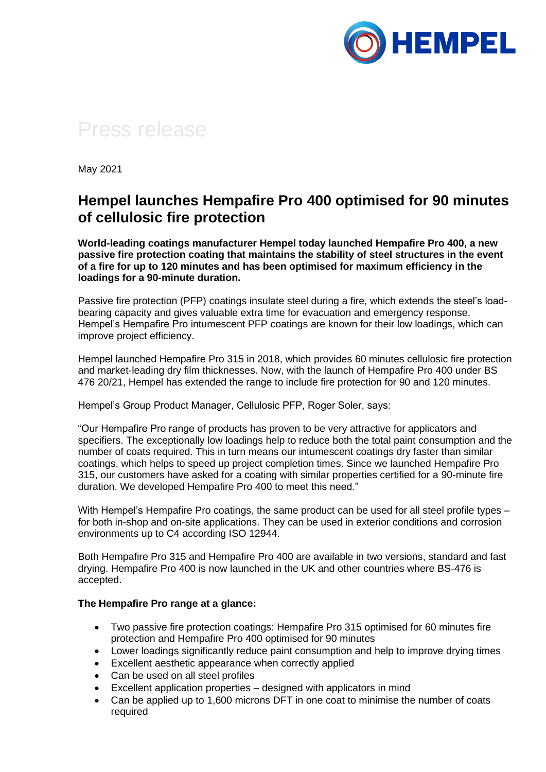

## Press release

May 2021

## **Hempel launches Hempafire Pro 400 optimised for 90 minutes of cellulosic fire protection**

**World-leading coatings manufacturer Hempel today launched Hempafire Pro 400, a new passive fire protection coating that maintains the stability of steel structures in the event of a fire for up to 120 minutes and has been optimised for maximum efficiency in the loadings for a 90-minute duration.**

Passive fire protection (PFP) coatings insulate steel during a fire, which extends the steel's loadbearing capacity and gives valuable extra time for evacuation and emergency response. Hempel's Hempafire Pro intumescent PFP coatings are known for their low loadings, which can improve project efficiency.

Hempel launched Hempafire Pro 315 in 2018, which provides 60 minutes cellulosic fire protection and market-leading dry film thicknesses. Now, with the launch of Hempafire Pro 400 under BS 476 20/21, Hempel has extended the range to include fire protection for 90 and 120 minutes.

Hempel's Group Product Manager, Cellulosic PFP, Roger Soler, says:

"Our Hempafire Pro range of products has proven to be very attractive for applicators and specifiers. The exceptionally low loadings help to reduce both the total paint consumption and the number of coats required. This in turn means our intumescent coatings dry faster than similar coatings, which helps to speed up project completion times. Since we launched Hempafire Pro 315, our customers have asked for a coating with similar properties certified for a 90-minute fire duration. We developed Hempafire Pro 400 to meet this need."

With Hempel's Hempafire Pro coatings, the same product can be used for all steel profile types for both in-shop and on-site applications. They can be used in exterior conditions and corrosion environments up to C4 according ISO 12944.

Both Hempafire Pro 315 and Hempafire Pro 400 are available in two versions, standard and fast drying. Hempafire Pro 400 is now launched in the UK and other countries where BS-476 is accepted.

## **The Hempafire Pro range at a glance:**

- Two passive fire protection coatings: Hempafire Pro 315 optimised for 60 minutes fire protection and Hempafire Pro 400 optimised for 90 minutes
- Lower loadings significantly reduce paint consumption and help to improve drying times
- Excellent aesthetic appearance when correctly applied
- Can be used on all steel profiles
- Excellent application properties designed with applicators in mind
- Can be applied up to 1,600 microns DFT in one coat to minimise the number of coats required